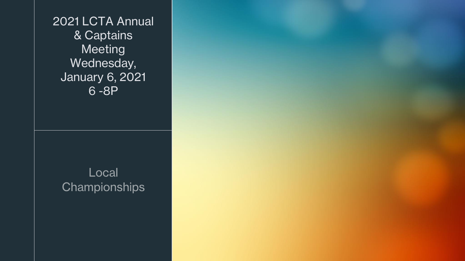2021 LCTA Annual & Captains Meeting Wednesday, January 6, 2021 6 -8P

## Local Championships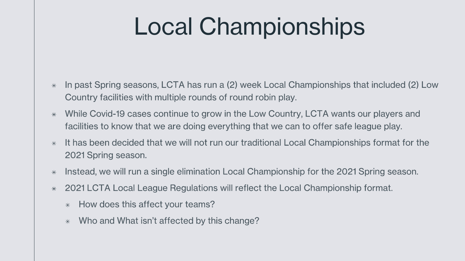## **Local Championships**

- In past Spring seasons, LCTA has run a (2) week Local Championships that included (2) Low  $*$ Country facilities with multiple rounds of round robin play.
- While Covid-19 cases continue to grow in the Low Country, LCTA wants our players and  $*$ facilities to know that we are doing everything that we can to offer safe league play.
- It has been decided that we will not run our traditional Local Championships format for the  $*$ 2021 Spring season.
- Instead, we will run a single elimination Local Championship for the 2021 Spring season.  $*$
- 2021 LCTA Local League Regulations will reflect the Local Championship format.  $\ast$ 
	- How does this affect your teams?  $*$
	- Who and What isn't affected by this change?  $*$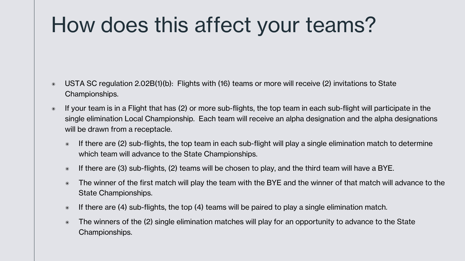## How does this affect your teams?

- USTA SC regulation 2.02B(1)(b): Flights with (16) teams or more will receive (2) invitations to State Championships.
- $*$  If your team is in a Flight that has (2) or more sub-flights, the top team in each sub-flight will participate in the single elimination Local Championship. Each team will receive an alpha designation and the alpha designations will be drawn from a receptacle.
	- $*$  If there are (2) sub-flights, the top team in each sub-flight will play a single elimination match to determine which team will advance to the State Championships.
	- $*$  If there are (3) sub-flights, (2) teams will be chosen to play, and the third team will have a BYE.
	- $*$  The winner of the first match will play the team with the BYE and the winner of that match will advance to the State Championships.
	- $*$  If there are (4) sub-flights, the top (4) teams will be paired to play a single elimination match.
	- $*$  The winners of the (2) single elimination matches will play for an opportunity to advance to the State Championships.